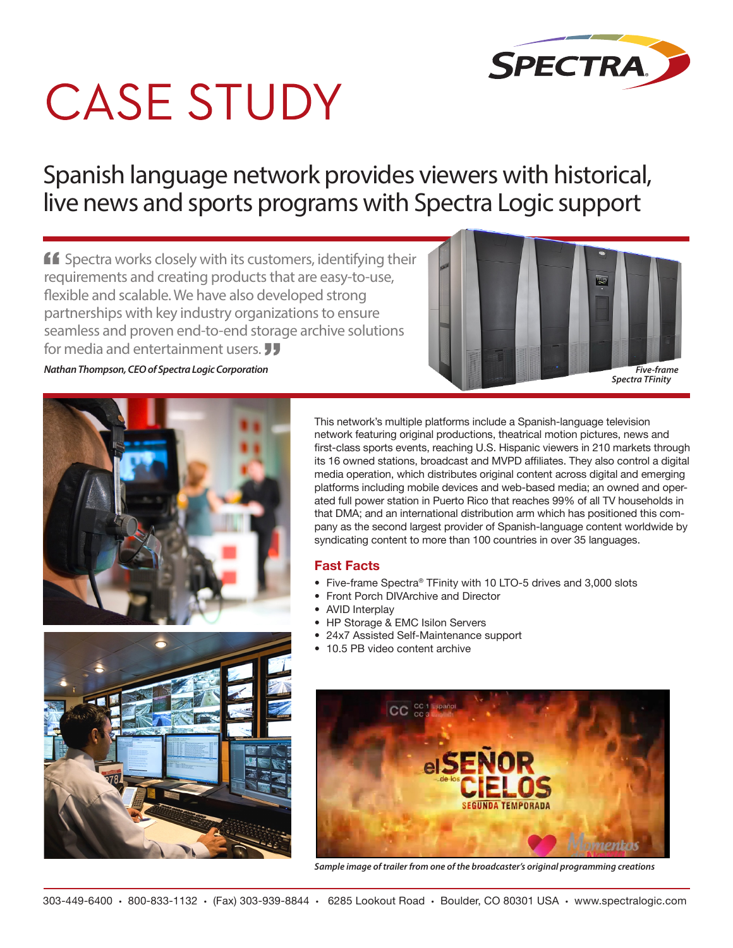

# **CASE STUDY**

Spanish language network provides viewers with historical, live news and sports programs with Spectra Logic support

 $\mathbf{f}$  Spectra works closely with its customers, identifying their requirements and creating products that are easy-to-use, flexible and scalable. We have also developed strong partnerships with key industry organizations to ensure seamless and proven end-to-end storage archive solutions for media and entertainment users. **JJ** 





This network's multiple platforms include a Spanish-language television network featuring original productions, theatrical motion pictures, news and first-class sports events, reaching U.S. Hispanic viewers in 210 markets through its 16 owned stations, broadcast and MVPD affiliates. They also control a digital media operation, which distributes original content across digital and emerging platforms including mobile devices and web-based media; an owned and operated full power station in Puerto Rico that reaches 99% of all TV households in that DMA; and an international distribution arm which has positioned this company as the second largest provider of Spanish-language content worldwide by syndicating content to more than 100 countries in over 35 languages.

#### **Fast Facts**

- Five-frame Spectra® TFinity with 10 LTO-5 drives and 3,000 slots
- Front Porch DIVArchive and Director
- AVID Interplay
- HP Storage & EMC Isilon Servers
- 24x7 Assisted Self-Maintenance support
- 10.5 PB video content archive



*Sample image of trailer from one of the broadcaster's original programming creations*